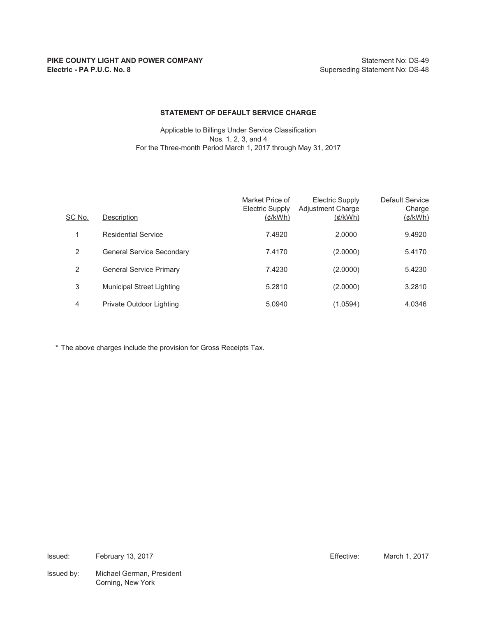#### **STATEMENT OF DEFAULT SERVICE CHARGE**

Applicable to Billings Under Service Classification Nos. 1, 2, 3, and 4 For the Three-month Period March 1, 2017 through May 31, 2017

| SC No. | Description                      | Market Price of<br>Electric Supply<br>$(\phi/kWh)$ | <b>Electric Supply</b><br><b>Adjustment Charge</b><br>$(\phi/kWh)$ | Default Service<br>Charge<br>$(\phi$ /kWh) |
|--------|----------------------------------|----------------------------------------------------|--------------------------------------------------------------------|--------------------------------------------|
|        | <b>Residential Service</b>       | 7.4920                                             | 2.0000                                                             | 9.4920                                     |
| 2      | <b>General Service Secondary</b> | 7.4170                                             | (2.0000)                                                           | 5.4170                                     |
| 2      | <b>General Service Primary</b>   | 7.4230                                             | (2.0000)                                                           | 5.4230                                     |
| 3      | <b>Municipal Street Lighting</b> | 5.2810                                             | (2.0000)                                                           | 3.2810                                     |
| 4      | Private Outdoor Lighting         | 5.0940                                             | (1.0594)                                                           | 4.0346                                     |

\* The above charges include the provision for Gross Receipts Tax.

Issued: Effective: March 1, 2017 February 13, 2017

Issued by: Michael German, President Corning, New York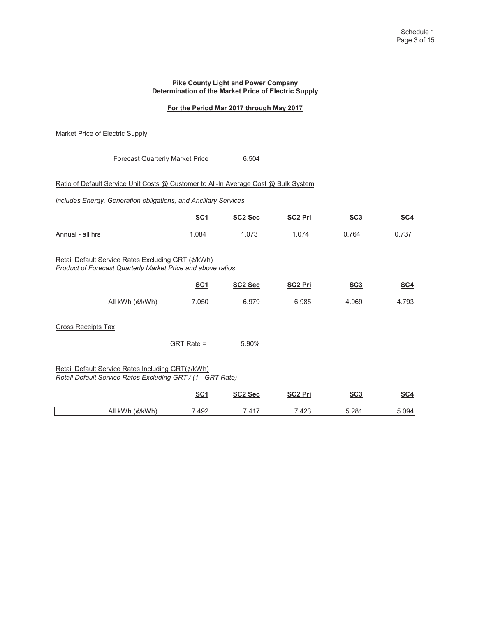#### **Pike County Light and Power Company Determination of the Market Price of Electric Supply**

# **For the Period Mar 2017 through May 2017**

## Market Price of Electric Supply

|                                                                                                                   | <b>Forecast Quarterly Market Price</b> | 6.504               |                |       |            |
|-------------------------------------------------------------------------------------------------------------------|----------------------------------------|---------------------|----------------|-------|------------|
| Ratio of Default Service Unit Costs @ Customer to All-In Average Cost @ Bulk System                               |                                        |                     |                |       |            |
| includes Energy, Generation obligations, and Ancillary Services                                                   |                                        |                     |                |       |            |
|                                                                                                                   | <u>SC1</u>                             | SC <sub>2</sub> Sec | <b>SC2 Pri</b> | SC3   | <u>SC4</u> |
| Annual - all hrs                                                                                                  | 1.084                                  | 1.073               | 1.074          | 0.764 | 0.737      |
| Retail Default Service Rates Excluding GRT (¢/kWh)<br>Product of Forecast Quarterly Market Price and above ratios |                                        |                     |                |       |            |
|                                                                                                                   | <b>SC1</b>                             | SC <sub>2</sub> Sec | <b>SC2 Pri</b> | SC3   | <b>SC4</b> |
| All kWh (¢/kWh)                                                                                                   | 7.050                                  | 6.979               | 6.985          | 4.969 | 4.793      |
| <b>Gross Receipts Tax</b>                                                                                         |                                        |                     |                |       |            |
|                                                                                                                   | $GRT Rate =$                           | 5.90%               |                |       |            |
| Retail Default Service Rates Including GRT(¢/kWh)<br>Retail Default Service Rates Excluding GRT / (1 - GRT Rate)  |                                        |                     |                |       |            |
|                                                                                                                   | <u>SC1</u>                             | SC <sub>2</sub> Sec | <b>SC2 Pri</b> | SC3   | <u>SC4</u> |
| All kWh (¢/kWh)                                                                                                   | 7.492                                  | 7.417               | 7.423          | 5.281 | 5.094      |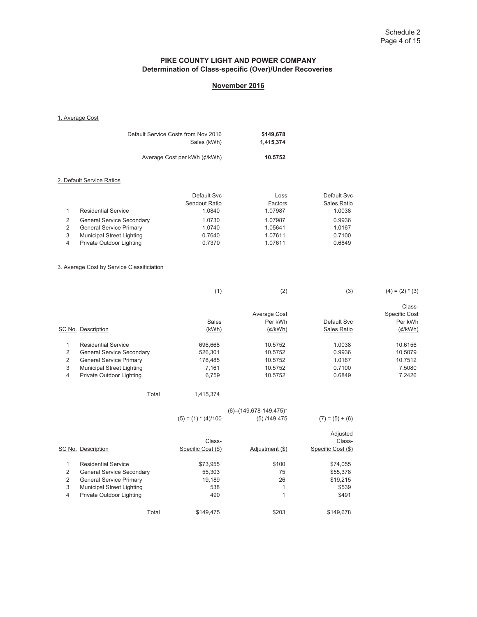# **PIKE COUNTY LIGHT AND POWER COMPANY Determination of Class-specific (Over)/Under Recoveries**

# **November 2016**

1. Average Cost

|   |                                  | Default Service Costs from Nov 2016<br>Sales (kWh) | \$149,678<br>1,415,374 |             |  |
|---|----------------------------------|----------------------------------------------------|------------------------|-------------|--|
|   |                                  | Average Cost per kWh (¢/kWh)                       | 10.5752                |             |  |
|   | 2. Default Service Ratios        |                                                    |                        |             |  |
|   |                                  | Default Svc                                        | Loss                   | Default Svc |  |
|   |                                  | Sendout Ratio                                      | Factors                | Sales Ratio |  |
| 1 | <b>Residential Service</b>       | 1.0840                                             | 1.07987                | 1.0038      |  |
| 2 | <b>General Service Secondary</b> | 1.0730                                             | 1.07987                | 0.9936      |  |
| 2 | <b>General Service Primary</b>   | 1.0740                                             | 1.05641                | 1.0167      |  |
| 3 | <b>Municipal Street Lighting</b> | 0.7640                                             | 1.07611                | 0.7100      |  |
| 4 | Private Outdoor Lighting         | 0.7370                                             | 1.07611                | 0.6849      |  |

#### 3. Average Cost by Service Classificiation

|   |                                  | (1)     | (2)              | (3)         | $(4) = (2) * (3)$    |
|---|----------------------------------|---------|------------------|-------------|----------------------|
|   |                                  |         |                  |             | Class-               |
|   |                                  |         | Average Cost     |             | <b>Specific Cost</b> |
|   |                                  | Sales   | Per kWh          | Default Svc | Per kWh              |
|   | SC No. Description               | (kWh)   | ( <i>¢</i> /kWh) | Sales Ratio | ( <i>d</i> /kWh)     |
|   | <b>Residential Service</b>       | 696.668 | 10.5752          | 1.0038      | 10.6156              |
| 2 | <b>General Service Secondary</b> | 526,301 | 10.5752          | 0.9936      | 10.5079              |
| 2 | <b>General Service Primary</b>   | 178,485 | 10.5752          | 1.0167      | 10.7512              |
| 3 | <b>Municipal Street Lighting</b> | 7.161   | 10.5752          | 0.7100      | 7.5080               |
| 4 | Private Outdoor Lighting         | 6,759   | 10.5752          | 0.6849      | 7.2426               |

|  | Total | 1,415,374 |
|--|-------|-----------|
|--|-------|-----------|

|                |                                  | $(5) = (1) * (4)/100$ | $(6) = (149.678 - 149.475)^*$<br>$(5)$ /149,475 | $(7) = (5) + (6)$  |
|----------------|----------------------------------|-----------------------|-------------------------------------------------|--------------------|
|                |                                  | Class-                |                                                 | Adjusted<br>Class- |
|                | SC No. Description               | Specific Cost (\$)    | Adjustment (\$)                                 | Specific Cost (\$) |
| и              | <b>Residential Service</b>       | \$73,955              | \$100                                           | \$74,055           |
| 2              | <b>General Service Secondary</b> | 55,303                | 75                                              | \$55,378           |
| 2              | <b>General Service Primary</b>   | 19,189                | 26                                              | \$19,215           |
| 3              | <b>Municipal Street Lighting</b> | 538                   | 1                                               | \$539              |
| $\overline{4}$ | Private Outdoor Lighting         | 490                   | <u>1</u>                                        | \$491              |
|                | Total                            | \$149.475             | \$203                                           | \$149.678          |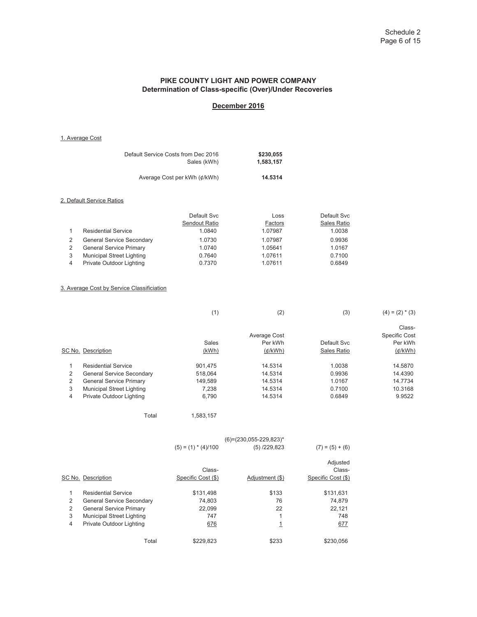### **PIKE COUNTY LIGHT AND POWER COMPANY Determination of Class-specific (Over)/Under Recoveries**

# **December 2016**

1. Average Cost

| Default Service Costs from Dec 2016 | \$230,055 |
|-------------------------------------|-----------|
| Sales (kWh)                         | 1.583.157 |
|                                     |           |
| Average Cost per kWh (¢/kWh)        | 14.5314   |

#### 2. Default Service Ratios

|                                  | Default Svc   | Loss    | Default Svc |
|----------------------------------|---------------|---------|-------------|
|                                  | Sendout Ratio | Factors | Sales Ratio |
| <b>Residential Service</b>       | 1.0840        | 1.07987 | 1.0038      |
| <b>General Service Secondary</b> | 1.0730        | 1.07987 | 0.9936      |
| <b>General Service Primary</b>   | 1.0740        | 1.05641 | 1.0167      |
| <b>Municipal Street Lighting</b> | 0.7640        | 1.07611 | 0.7100      |
| Private Outdoor Lighting         | 0.7370        | 1.07611 | 0.6849      |

### 3. Average Cost by Service Classificiation

| (1) | (2) | (3) | $(4) = (2) * (3)$ |
|-----|-----|-----|-------------------|
|     |     |     |                   |

|   |                                  |         | Average Cost |             | Class-<br><b>Specific Cost</b> |
|---|----------------------------------|---------|--------------|-------------|--------------------------------|
|   |                                  | Sales   | Per kWh      | Default Svc | Per kWh                        |
|   | SC No. Description               | (kWh)   | $(\phi/kWh)$ | Sales Ratio | $(\phi/kWh)$                   |
|   | <b>Residential Service</b>       | 901.475 | 14.5314      | 1.0038      | 14.5870                        |
| 2 | <b>General Service Secondary</b> | 518.064 | 14.5314      | 0.9936      | 14.4390                        |
|   | <b>General Service Primary</b>   | 149.589 | 14.5314      | 1.0167      | 14.7734                        |
| 3 | <b>Municipal Street Lighting</b> | 7.238   | 14.5314      | 0.7100      | 10.3168                        |
| 4 | Private Outdoor Lighting         | 6.790   | 14.5314      | 0.6849      | 9.9522                         |

```
Total 1,583,157
```

|                |                                  |                       | $(6) = (230.055 - 229.823)^*$ |                    |
|----------------|----------------------------------|-----------------------|-------------------------------|--------------------|
|                |                                  | $(5) = (1) * (4)/100$ | $(5)$ /229,823                | $(7) = (5) + (6)$  |
|                |                                  |                       |                               | Adjusted           |
|                |                                  | Class-                |                               | Class-             |
|                | SC No. Description               | Specific Cost (\$)    | Adjustment (\$)               | Specific Cost (\$) |
| 1              | <b>Residential Service</b>       | \$131.498             | \$133                         | \$131,631          |
| 2              | <b>General Service Secondary</b> | 74,803                | 76                            | 74,879             |
| 2              | <b>General Service Primary</b>   | 22,099                | 22                            | 22,121             |
| 3              | <b>Municipal Street Lighting</b> | 747                   | и                             | 748                |
| $\overline{4}$ | Private Outdoor Lighting         | 676                   | 1                             | 677                |
|                | Total                            | \$229,823             | \$233                         | \$230.056          |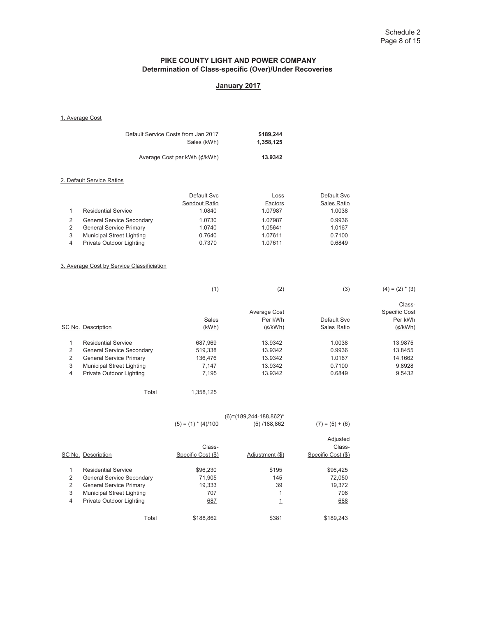# **PIKE COUNTY LIGHT AND POWER COMPANY Determination of Class-specific (Over)/Under Recoveries**

# **January 2017**

#### 1. Average Cost

|   |                                  | Default Service Costs from Jan 2017<br>Sales (kWh) | \$189,244<br>1,358,125 |             |  |
|---|----------------------------------|----------------------------------------------------|------------------------|-------------|--|
|   |                                  | Average Cost per kWh (¢/kWh)                       | 13.9342                |             |  |
|   | 2. Default Service Ratios        |                                                    |                        |             |  |
|   |                                  | Default Svc                                        | Loss                   | Default Svc |  |
|   |                                  | Sendout Ratio                                      | Factors                | Sales Ratio |  |
| 1 | <b>Residential Service</b>       | 1.0840                                             | 1.07987                | 1.0038      |  |
| 2 | <b>General Service Secondary</b> | 1.0730                                             | 1.07987                | 0.9936      |  |
| 2 | <b>General Service Primary</b>   | 1.0740                                             | 1.05641                | 1.0167      |  |
| 3 | <b>Municipal Street Lighting</b> | 0.7640                                             | 1.07611                | 0.7100      |  |
| 4 | Private Outdoor Lighting         | 0.7370                                             | 1.07611                | 0.6849      |  |

### 3. Average Cost by Service Classificiation

|   |                                  | (1)     | (2)          | (3)         | $(4) = (2) * (3)$    |
|---|----------------------------------|---------|--------------|-------------|----------------------|
|   |                                  |         |              |             | Class-               |
|   |                                  |         | Average Cost |             | <b>Specific Cost</b> |
|   |                                  | Sales   | Per kWh      | Default Svc | Per kWh              |
|   | SC No. Description               | (kWh)   | $(\phi/kWh)$ | Sales Ratio | (d/kWh)              |
|   | <b>Residential Service</b>       | 687.969 | 13.9342      | 1.0038      | 13.9875              |
| 2 | <b>General Service Secondary</b> | 519,338 | 13.9342      | 0.9936      | 13.8455              |
| 2 | <b>General Service Primary</b>   | 136,476 | 13.9342      | 1.0167      | 14.1662              |
| 3 | <b>Municipal Street Lighting</b> | 7.147   | 13.9342      | 0.7100      | 9.8928               |
| 4 | Private Outdoor Lighting         | 7,195   | 13.9342      | 0.6849      | 9.5432               |
|   |                                  |         |              |             |                      |

Total 1,358,125

|   |                                  |                       | $(6) = (189, 244 - 188, 862)^*$ |                    |
|---|----------------------------------|-----------------------|---------------------------------|--------------------|
|   |                                  | $(5) = (1) * (4)/100$ | (5) / 188,862                   | $(7) = (5) + (6)$  |
|   |                                  |                       |                                 | Adjusted           |
|   |                                  | Class-                |                                 | Class-             |
|   | SC No. Description               | Specific Cost (\$)    | Adjustment (\$)                 | Specific Cost (\$) |
| 1 | <b>Residential Service</b>       | \$96,230              | \$195                           | \$96,425           |
| 2 | <b>General Service Secondary</b> | 71,905                | 145                             | 72,050             |
| 2 | <b>General Service Primary</b>   | 19,333                | 39                              | 19,372             |
| 3 | <b>Municipal Street Lighting</b> | 707                   | 1                               | 708                |
| 4 | Private Outdoor Lighting         | 687                   | 1                               | 688                |
|   | Total                            | \$188.862             | \$381                           | \$189.243          |
|   |                                  |                       |                                 |                    |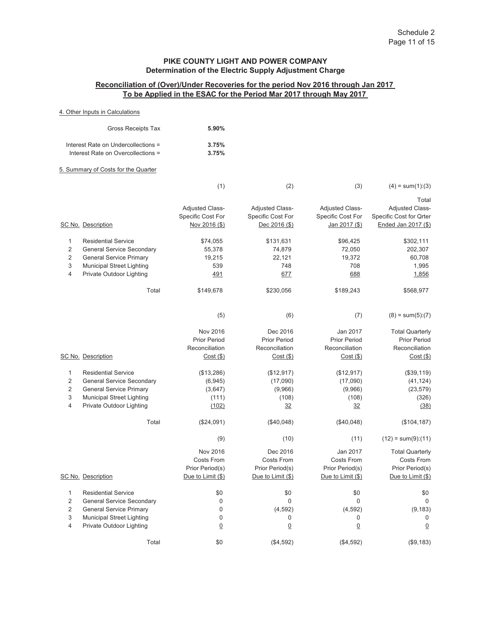## **Reconciliation of (Over)/Under Recoveries for the period Nov 2016 through Jan 2017 To be Applied in the ESAC for the Period Mar 2017 through May 2017**

### 4. Other Inputs in Calculations

| Gross Receipts Tax                  | 5.90% |
|-------------------------------------|-------|
| Interest Rate on Undercollections = | 3.75% |
| Interest Rate on Overcollections =  | 3.75% |

### 5. Summary of Costs for the Quarter

|                                    |                                                                                                                                                                           | (1)                                                                                          | (2)                                                                                           | (3)                                                                                         | $(4) = sum(1):(3)$                                                                                                          |
|------------------------------------|---------------------------------------------------------------------------------------------------------------------------------------------------------------------------|----------------------------------------------------------------------------------------------|-----------------------------------------------------------------------------------------------|---------------------------------------------------------------------------------------------|-----------------------------------------------------------------------------------------------------------------------------|
|                                    | SC No. Description                                                                                                                                                        | <b>Adjusted Class-</b><br>Specific Cost For<br>Nov 2016 (\$)                                 | <b>Adjusted Class-</b><br>Specific Cost For<br>Dec 2016 (\$)                                  | Adjusted Class-<br>Specific Cost For<br>Jan 2017 (\$)                                       | Total<br><b>Adjusted Class-</b><br>Specific Cost for Qrter<br>Ended Jan 2017 (\$)                                           |
| 1<br>$\overline{2}$<br>2<br>3<br>4 | <b>Residential Service</b><br><b>General Service Secondary</b><br><b>General Service Primary</b><br><b>Municipal Street Lighting</b><br>Private Outdoor Lighting<br>Total | \$74,055<br>55,378<br>19,215<br>539<br>491<br>\$149,678                                      | \$131,631<br>74,879<br>22,121<br>748<br>677<br>\$230,056                                      | \$96,425<br>72,050<br>19,372<br>708<br>688<br>\$189,243                                     | \$302,111<br>202,307<br>60,708<br>1,995<br>1,856<br>\$568,977                                                               |
|                                    | SC No. Description                                                                                                                                                        | (5)<br>Nov 2016<br><b>Prior Period</b><br>Reconciliation<br>$Cost($ \$)                      | (6)<br>Dec 2016<br><b>Prior Period</b><br>Reconciliation<br>$Cost($ \$)                       | (7)<br>Jan 2017<br><b>Prior Period</b><br>Reconciliation<br>$Cost($ \$)                     | $(8) = sum(5):(7)$<br><b>Total Quarterly</b><br><b>Prior Period</b><br>Reconciliation<br>$Cost($ \$)                        |
| 1<br>2<br>$\overline{2}$<br>3<br>4 | <b>Residential Service</b><br><b>General Service Secondary</b><br><b>General Service Primary</b><br><b>Municipal Street Lighting</b><br>Private Outdoor Lighting          | (\$13,286)<br>(6, 945)<br>(3,647)<br>(111)<br>(102)                                          | (\$12,917)<br>(17,090)<br>(9,966)<br>(108)<br>32                                              | (\$12,917)<br>(17,090)<br>(9,966)<br>(108)<br>32                                            | (\$39,119)<br>(41, 124)<br>(23, 579)<br>(326)<br>(38)                                                                       |
|                                    | Total<br>SC No. Description                                                                                                                                               | (\$24,091)<br>(9)<br>Nov 2016<br><b>Costs From</b><br>Prior Period(s)<br>Due to Limit $(\$)$ | (\$40,048)<br>(10)<br>Dec 2016<br><b>Costs From</b><br>Prior Period(s)<br>Due to Limit $(\$)$ | (\$40,048)<br>(11)<br>Jan 2017<br><b>Costs From</b><br>Prior Period(s)<br>Due to Limit (\$) | (\$104, 187)<br>$(12) = sum(9):(11)$<br><b>Total Quarterly</b><br><b>Costs From</b><br>Prior Period(s)<br>Due to Limit (\$) |
| 1<br>2<br>2<br>3<br>4              | <b>Residential Service</b><br><b>General Service Secondary</b><br><b>General Service Primary</b><br><b>Municipal Street Lighting</b><br>Private Outdoor Lighting<br>Total | \$0<br>$\mathbf 0$<br>0<br>$\mathbf 0$<br>$\overline{0}$<br>\$0                              | \$0<br>$\mathbf{0}$<br>(4, 592)<br>0<br>$\overline{0}$<br>(\$4,592)                           | \$0<br>$\mathbf{0}$<br>(4, 592)<br>0<br>$\overline{0}$<br>(\$4,592)                         | \$0<br>$\mathbf 0$<br>(9, 183)<br>$\mathbf 0$<br>0<br>(\$9,183)                                                             |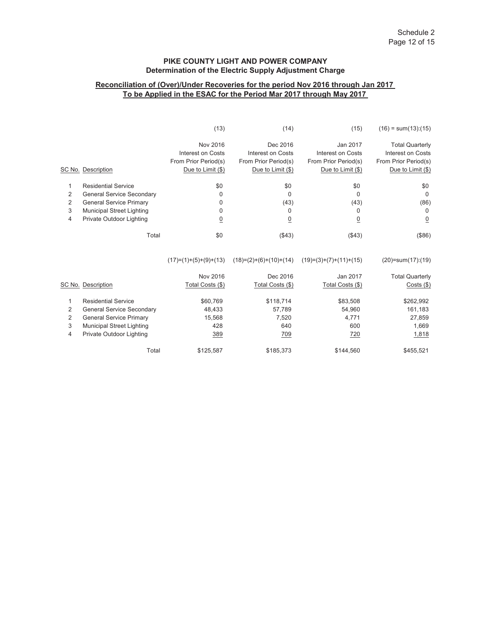# **Reconciliation of (Over)/Under Recoveries for the period Nov 2016 through Jan 2017 To be Applied in the ESAC for the Period Mar 2017 through May 2017**

|   |                                  | (13)                     | (14)                     | (15)                      | $(16) = sum(13):(15)$       |
|---|----------------------------------|--------------------------|--------------------------|---------------------------|-----------------------------|
|   |                                  | Nov 2016                 | Dec 2016                 | Jan 2017                  | <b>Total Quarterly</b>      |
|   |                                  | Interest on Costs        | Interest on Costs        | <b>Interest on Costs</b>  | <b>Interest on Costs</b>    |
|   |                                  | From Prior Period(s)     | From Prior Period(s)     | From Prior Period(s)      | From Prior Period(s)        |
|   | SC No. Description               | Due to Limit (\$)        | Due to Limit (\$)        | Due to Limit (\$)         | Due to Limit (\$)           |
| 1 | <b>Residential Service</b>       | \$0                      | \$0                      | \$0                       | \$0                         |
| 2 | <b>General Service Secondary</b> | 0                        | $\Omega$                 | $\Omega$                  | 0                           |
| 2 | <b>General Service Primary</b>   | 0                        | (43)                     | (43)                      | (86)                        |
| 3 | <b>Municipal Street Lighting</b> | 0                        | 0                        | 0                         | 0                           |
| 4 | Private Outdoor Lighting         | $\overline{0}$           | $\overline{0}$           | $\overline{0}$            | $\overline{0}$              |
|   | Total                            | \$0                      | (\$43)                   | ( \$43)                   | (\$86)                      |
|   |                                  | $(17)= (1)+(5)+(9)+(13)$ | $(18)=(2)+(6)+(10)+(14)$ | $(19)= (3)+(7)+(11)+(15)$ | $(20)$ =sum $(17)$ : $(19)$ |
|   |                                  | Nov 2016                 | Dec 2016                 | Jan 2017                  | <b>Total Quarterly</b>      |
|   | SC No. Description               | Total Costs (\$)         | Total Costs (\$)         | Total Costs (\$)          | $Costs$ (\$)                |
| 1 | <b>Residential Service</b>       | \$60,769                 | \$118,714                | \$83,508                  | \$262,992                   |
| 2 | <b>General Service Secondary</b> | 48,433                   | 57,789                   | 54,960                    | 161,183                     |
| 2 | <b>General Service Primary</b>   | 15,568                   | 7,520                    | 4,771                     | 27,859                      |
| 3 | <b>Municipal Street Lighting</b> | 428                      | 640                      | 600                       | 1,669                       |
| 4 | Private Outdoor Lighting         | 389                      | 709                      | <u>720</u>                | 1,818                       |
|   | Total                            | \$125,587                | \$185,373                | \$144,560                 | \$455,521                   |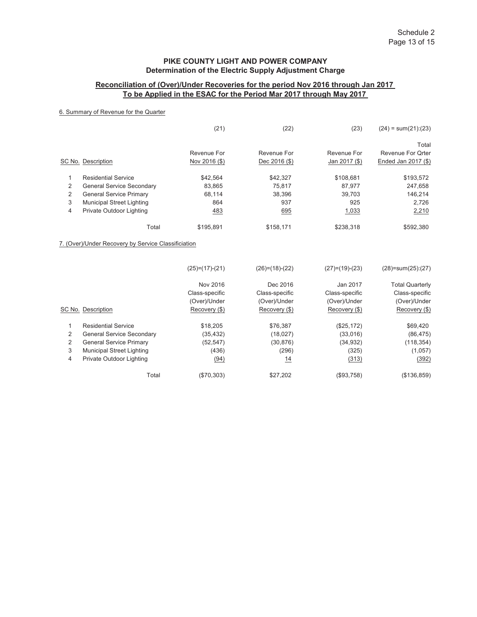## **Reconciliation of (Over)/Under Recoveries for the period Nov 2016 through Jan 2017 To be Applied in the ESAC for the Period Mar 2017 through May 2017**

## 6. Summary of Revenue for the Quarter

|   |                                                     | (21)             | (22)             | (23)             | $(24) = sum(21):(23)$       |
|---|-----------------------------------------------------|------------------|------------------|------------------|-----------------------------|
|   |                                                     |                  |                  |                  | Total                       |
|   |                                                     | Revenue For      | Revenue For      | Revenue For      | <b>Revenue For Orter</b>    |
|   | SC No. Description                                  | Nov 2016 (\$)    | Dec 2016 (\$)    | Jan 2017 (\$)    | Ended Jan 2017 (\$)         |
| 1 | <b>Residential Service</b>                          | \$42,564         | \$42,327         | \$108,681        | \$193,572                   |
| 2 | <b>General Service Secondary</b>                    | 83,865           | 75,817           | 87,977           | 247,658                     |
| 2 | <b>General Service Primary</b>                      | 68,114           | 38,396           | 39,703           | 146,214                     |
| 3 | <b>Municipal Street Lighting</b>                    | 864              | 937              | 925              | 2,726                       |
| 4 | Private Outdoor Lighting                            | 483              | 695              | 1,033            | 2,210                       |
|   | Total                                               | \$195,891        | \$158,171        | \$238,318        | \$592,380                   |
|   | 7. (Over)/Under Recovery by Service Classificiation |                  |                  |                  |                             |
|   |                                                     | $(25)=(17)-(21)$ | $(26)=(18)-(22)$ | $(27)=(19)-(23)$ | $(28)$ =sum $(25)$ : $(27)$ |
|   |                                                     | Nov 2016         | Dec 2016         | Jan 2017         | <b>Total Quarterly</b>      |
|   |                                                     | Class-specific   | Class-specific   | Class-specific   | Class-specific              |
|   |                                                     | (Over)/Under     | (Over)/Under     | (Over)/Under     | (Over)/Under                |
|   | SC No. Description                                  | Recovery (\$)    | Recovery (\$)    | Recovery (\$)    | Recovery (\$)               |
| 1 | <b>Residential Service</b>                          | \$18,205         | \$76,387         | (\$25,172)       | \$69,420                    |
| 2 | <b>General Service Secondary</b>                    | (35, 432)        | (18,027)         | (33,016)         | (86, 475)                   |
| 2 | <b>General Service Primary</b>                      | (52, 547)        | (30, 876)        | (34, 932)        | (118, 354)                  |
| 3 | <b>Municipal Street Lighting</b>                    | (436)            | (296)            | (325)            | (1,057)                     |
| 4 | Private Outdoor Lighting                            | (94)             | 14               | (313)            | (392)                       |
|   | Total                                               | (\$70,303)       | \$27,202         | (\$93,758)       | (\$136,859)                 |